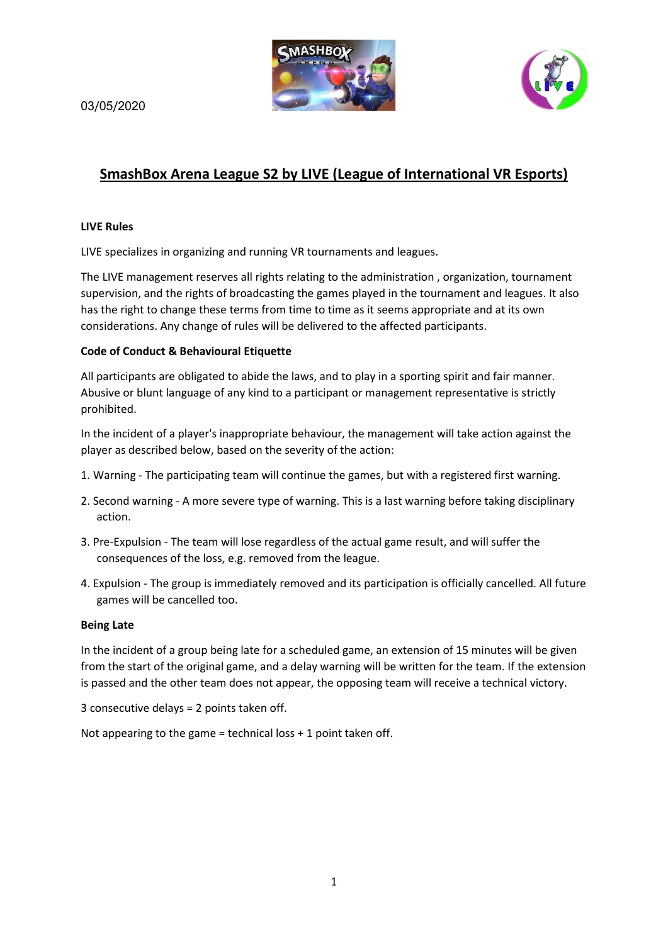03/05/2020





# **SmashBox Arena League S2 by LIVE (League of International VR Esports)**

### **LIVE Rules**

LIVE specializes in organizing and running VR tournaments and leagues.

The LIVE management reserves all rights relating to the administration , organization, tournament supervision, and the rights of broadcasting the games played in the tournament and leagues. It also has the right to change these terms from time to time as it seems appropriate and at its own considerations. Any change of rules will be delivered to the affected participants.

## **Code of Conduct & Behavioural Etiquette**

All participants are obligated to abide the laws, and to play in a sporting spirit and fair manner. Abusive or blunt language of any kind to a participant or management representative is strictly prohibited.

In the incident of a player's inappropriate behaviour, the management will take action against the player as described below, based on the severity of the action:

- 1. Warning The participating team will continue the games, but with a registered first warning.
- 2. Second warning A more severe type of warning. This is a last warning before taking disciplinary action.
- 3. Pre-Expulsion The team will lose regardless of the actual game result, and will suffer the consequences of the loss, e.g. removed from the league.
- 4. Expulsion The group is immediately removed and its participation is officially cancelled. All future games will be cancelled too.

#### **Being Late**

In the incident of a group being late for a scheduled game, an extension of 15 minutes will be given from the start of the original game, and a delay warning will be written for the team. If the extension is passed and the other team does not appear, the opposing team will receive a technical victory.

3 consecutive delays = 2 points taken off.

Not appearing to the game = technical loss  $+1$  point taken off.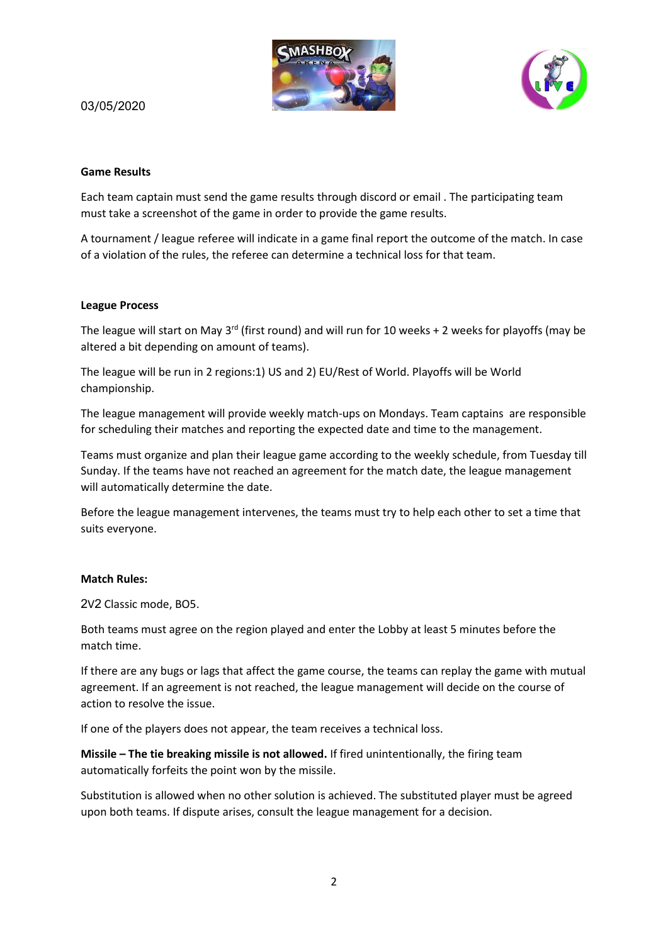



## 03/05/2020

#### **Game Results**

Each team captain must send the game results through discord or email . The participating team must take a screenshot of the game in order to provide the game results.

A tournament / league referee will indicate in a game final report the outcome of the match. In case of a violation of the rules, the referee can determine a technical loss for that team.

#### **League Process**

The league will start on May 3<sup>rd</sup> (first round) and will run for 10 weeks + 2 weeks for playoffs (may be altered a bit depending on amount of teams).

The league will be run in 2 regions:1) US and 2) EU/Rest of World. Playoffs will be World championship.

The league management will provide weekly match-ups on Mondays. Team captains are responsible for scheduling their matches and reporting the expected date and time to the management.

Teams must organize and plan their league game according to the weekly schedule, from Tuesday till Sunday. If the teams have not reached an agreement for the match date, the league management will automatically determine the date.

Before the league management intervenes, the teams must try to help each other to set a time that suits everyone.

#### **Match Rules:**

2V2 Classic mode, BO5.

Both teams must agree on the region played and enter the Lobby at least 5 minutes before the match time.

If there are any bugs or lags that affect the game course, the teams can replay the game with mutual agreement. If an agreement is not reached, the league management will decide on the course of action to resolve the issue.

If one of the players does not appear, the team receives a technical loss.

**Missile – The tie breaking missile is not allowed.** If fired unintentionally, the firing team automatically forfeits the point won by the missile.

Substitution is allowed when no other solution is achieved. The substituted player must be agreed upon both teams. If dispute arises, consult the league management for a decision.